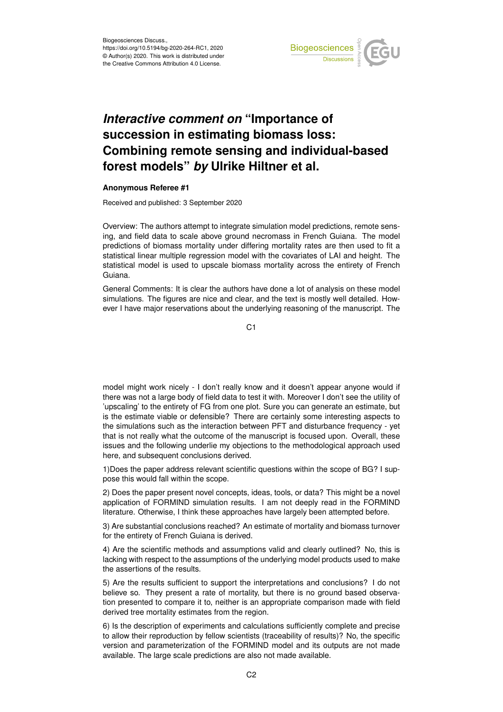

## *Interactive comment on* **"Importance of succession in estimating biomass loss: Combining remote sensing and individual-based forest models"** *by* **Ulrike Hiltner et al.**

## **Anonymous Referee #1**

Received and published: 3 September 2020

Overview: The authors attempt to integrate simulation model predictions, remote sensing, and field data to scale above ground necromass in French Guiana. The model predictions of biomass mortality under differing mortality rates are then used to fit a statistical linear multiple regression model with the covariates of LAI and height. The statistical model is used to upscale biomass mortality across the entirety of French Guiana.

General Comments: It is clear the authors have done a lot of analysis on these model simulations. The figures are nice and clear, and the text is mostly well detailed. However I have major reservations about the underlying reasoning of the manuscript. The

C1

model might work nicely - I don't really know and it doesn't appear anyone would if there was not a large body of field data to test it with. Moreover I don't see the utility of 'upscaling' to the entirety of FG from one plot. Sure you can generate an estimate, but is the estimate viable or defensible? There are certainly some interesting aspects to the simulations such as the interaction between PFT and disturbance frequency - yet that is not really what the outcome of the manuscript is focused upon. Overall, these issues and the following underlie my objections to the methodological approach used here, and subsequent conclusions derived.

1)Does the paper address relevant scientific questions within the scope of BG? I suppose this would fall within the scope.

2) Does the paper present novel concepts, ideas, tools, or data? This might be a novel application of FORMIND simulation results. I am not deeply read in the FORMIND literature. Otherwise, I think these approaches have largely been attempted before.

3) Are substantial conclusions reached? An estimate of mortality and biomass turnover for the entirety of French Guiana is derived.

4) Are the scientific methods and assumptions valid and clearly outlined? No, this is lacking with respect to the assumptions of the underlying model products used to make the assertions of the results.

5) Are the results sufficient to support the interpretations and conclusions? I do not believe so. They present a rate of mortality, but there is no ground based observation presented to compare it to, neither is an appropriate comparison made with field derived tree mortality estimates from the region.

6) Is the description of experiments and calculations sufficiently complete and precise to allow their reproduction by fellow scientists (traceability of results)? No, the specific version and parameterization of the FORMIND model and its outputs are not made available. The large scale predictions are also not made available.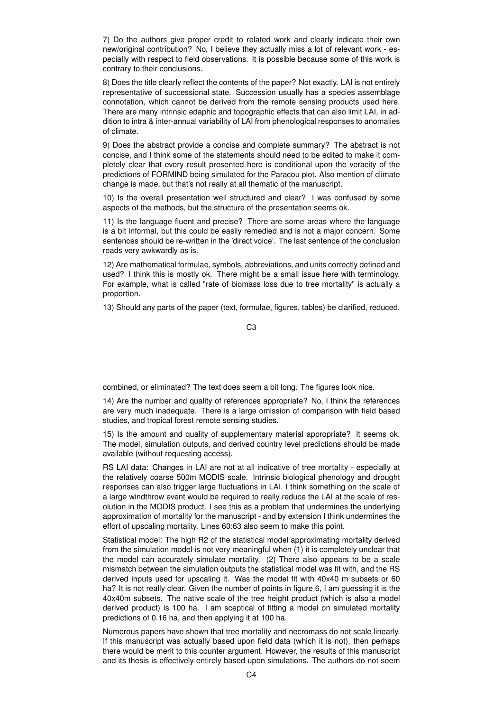7) Do the authors give proper credit to related work and clearly indicate their own new/original contribution? No, I believe they actually miss a lot of relevant work - especially with respect to field observations. It is possible because some of this work is contrary to their conclusions.

8) Does the title clearly reflect the contents of the paper? Not exactly. LAI is not entirely representative of successional state. Succession usually has a species assemblage connotation, which cannot be derived from the remote sensing products used here. There are many intrinsic edaphic and topographic effects that can also limit LAI, in addition to intra & inter-annual variability of LAI from phenological responses to anomalies of climate.

9) Does the abstract provide a concise and complete summary? The abstract is not concise, and I think some of the statements should need to be edited to make it completely clear that every result presented here is conditional upon the veracity of the predictions of FORMIND being simulated for the Paracou plot. Also mention of climate change is made, but that's not really at all thematic of the manuscript.

10) Is the overall presentation well structured and clear? I was confused by some aspects of the methods, but the structure of the presentation seems ok.

11) Is the language fluent and precise? There are some areas where the language is a bit informal, but this could be easily remedied and is not a major concern. Some sentences should be re-written in the 'direct voice'. The last sentence of the conclusion reads very awkwardly as is.

12) Are mathematical formulae, symbols, abbreviations, and units correctly defined and used? I think this is mostly ok. There might be a small issue here with terminology. For example, what is called "rate of biomass loss due to tree mortality" is actually a proportion.

13) Should any parts of the paper (text, formulae, figures, tables) be clarified, reduced,

C3

combined, or eliminated? The text does seem a bit long. The figures look nice.

14) Are the number and quality of references appropriate? No, I think the references are very much inadequate. There is a large omission of comparison with field based studies, and tropical forest remote sensing studies.

15) Is the amount and quality of supplementary material appropriate? It seems ok. The model, simulation outputs, and derived country level predictions should be made available (without requesting access).

RS LAI data: Changes in LAI are not at all indicative of tree mortality - especially at the relatively coarse 500m MODIS scale. Intrinsic biological phenology and drought responses can also trigger large fluctuations in LAI. I think something on the scale of a large windthrow event would be required to really reduce the LAI at the scale of resolution in the MODIS product. I see this as a problem that undermines the underlying approximation of mortality for the manuscript - and by extension I think undermines the effort of upscaling mortality. Lines 60:63 also seem to make this point.

Statistical model: The high R2 of the statistical model approximating mortality derived from the simulation model is not very meaningful when (1) it is completely unclear that the model can accurately simulate mortality. (2) There also appears to be a scale mismatch between the simulation outputs the statistical model was fit with, and the RS derived inputs used for upscaling it. Was the model fit with 40x40 m subsets or 60 ha? It is not really clear. Given the number of points in figure 6, I am guessing it is the 40x40m subsets. The native scale of the tree height product (which is also a model derived product) is 100 ha. I am sceptical of fitting a model on simulated mortality predictions of 0.16 ha, and then applying it at 100 ha.

Numerous papers have shown that tree mortality and necromass do not scale linearly. If this manuscript was actually based upon field data (which it is not), then perhaps there would be merit to this counter argument. However, the results of this manuscript and its thesis is effectively entirely based upon simulations. The authors do not seem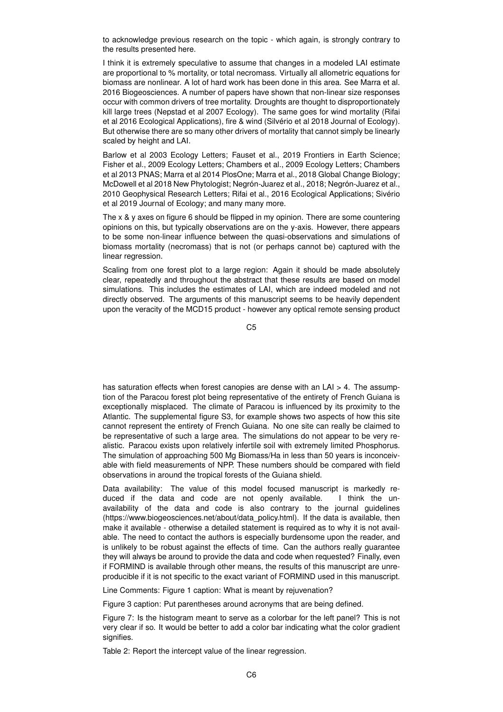to acknowledge previous research on the topic - which again, is strongly contrary to the results presented here.

I think it is extremely speculative to assume that changes in a modeled LAI estimate are proportional to % mortality, or total necromass. Virtually all allometric equations for biomass are nonlinear. A lot of hard work has been done in this area. See Marra et al. 2016 Biogeosciences. A number of papers have shown that non-linear size responses occur with common drivers of tree mortality. Droughts are thought to disproportionately kill large trees (Nepstad et al 2007 Ecology). The same goes for wind mortality (Rifai et al 2016 Ecological Applications), fire & wind (Silvério et al 2018 Journal of Ecology). But otherwise there are so many other drivers of mortality that cannot simply be linearly scaled by height and LAI.

Barlow et al 2003 Ecology Letters; Fauset et al., 2019 Frontiers in Earth Science; Fisher et al., 2009 Ecology Letters; Chambers et al., 2009 Ecology Letters; Chambers et al 2013 PNAS; Marra et al 2014 PlosOne; Marra et al., 2018 Global Change Biology; McDowell et al 2018 New Phytologist; Negrón-Juarez et al., 2018; Negrón-Juarez et al., 2010 Geophysical Research Letters; Rifai et al., 2016 Ecological Applications; Sivério et al 2019 Journal of Ecology; and many many more.

The x & y axes on figure 6 should be flipped in my opinion. There are some countering opinions on this, but typically observations are on the y-axis. However, there appears to be some non-linear influence between the quasi-observations and simulations of biomass mortality (necromass) that is not (or perhaps cannot be) captured with the linear regression.

Scaling from one forest plot to a large region: Again it should be made absolutely clear, repeatedly and throughout the abstract that these results are based on model simulations. This includes the estimates of LAI, which are indeed modeled and not directly observed. The arguments of this manuscript seems to be heavily dependent upon the veracity of the MCD15 product - however any optical remote sensing product

C5

has saturation effects when forest canopies are dense with an LAI > 4. The assumption of the Paracou forest plot being representative of the entirety of French Guiana is exceptionally misplaced. The climate of Paracou is influenced by its proximity to the Atlantic. The supplemental figure S3, for example shows two aspects of how this site cannot represent the entirety of French Guiana. No one site can really be claimed to be representative of such a large area. The simulations do not appear to be very realistic. Paracou exists upon relatively infertile soil with extremely limited Phosphorus. The simulation of approaching 500 Mg Biomass/Ha in less than 50 years is inconceivable with field measurements of NPP. These numbers should be compared with field observations in around the tropical forests of the Guiana shield.

Data availability: The value of this model focused manuscript is markedly reduced if the data and code are not openly available. I think the unavailability of the data and code is also contrary to the journal guidelines (https://www.biogeosciences.net/about/data\_policy.html). If the data is available, then make it available - otherwise a detailed statement is required as to why it is not available. The need to contact the authors is especially burdensome upon the reader, and is unlikely to be robust against the effects of time. Can the authors really guarantee they will always be around to provide the data and code when requested? Finally, even if FORMIND is available through other means, the results of this manuscript are unreproducible if it is not specific to the exact variant of FORMIND used in this manuscript.

Line Comments: Figure 1 caption: What is meant by rejuvenation?

Figure 3 caption: Put parentheses around acronyms that are being defined.

Figure 7: Is the histogram meant to serve as a colorbar for the left panel? This is not very clear if so. It would be better to add a color bar indicating what the color gradient signifies.

Table 2: Report the intercept value of the linear regression.